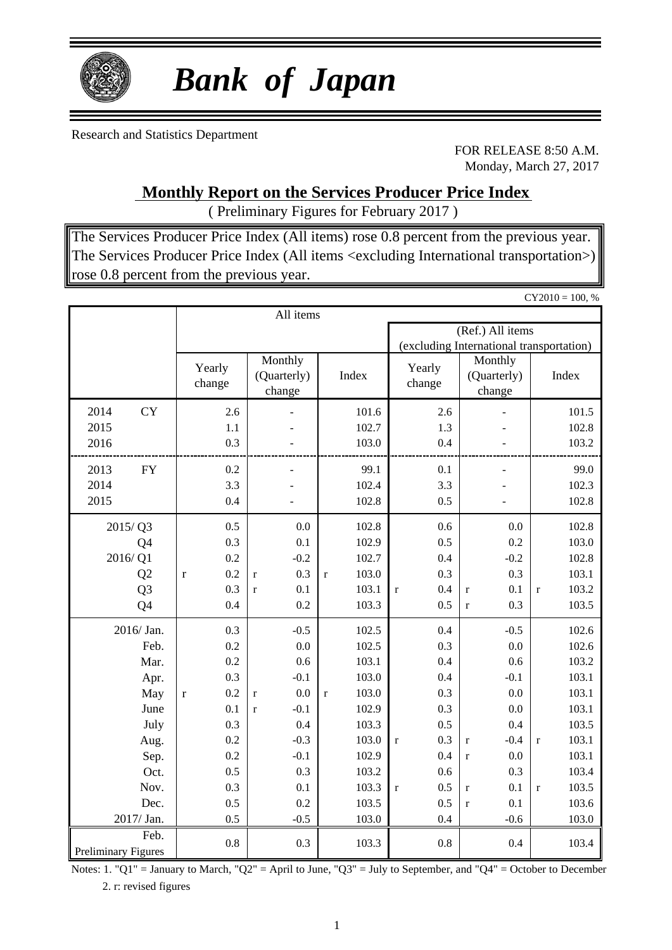

# *Bank of Japan*

Research and Statistics Department

FOR RELEASE 8:50 A.M. Monday, March 27, 2017

**Monthly Report on the Services Producer Price Index**

( Preliminary Figures for February 2017 )

The Services Producer Price Index (All items) rose 0.8 percent from the previous year. The Services Producer Price Index (All items <excluding International transportation>) rose 0.8 percent from the previous year.

 $CY2010 = 100, %$ 

|                                    |                    | All items                        |                      |                                          |                                  |                       |  |  |  |
|------------------------------------|--------------------|----------------------------------|----------------------|------------------------------------------|----------------------------------|-----------------------|--|--|--|
|                                    |                    |                                  |                      | (Ref.) All items                         |                                  |                       |  |  |  |
|                                    |                    |                                  |                      | (excluding International transportation) |                                  |                       |  |  |  |
|                                    | Yearly<br>change   | Monthly<br>(Quarterly)<br>change | Index                | Yearly<br>change                         | Monthly<br>(Quarterly)<br>change | Index                 |  |  |  |
| <b>CY</b><br>2014                  | 2.6                |                                  | 101.6                | 2.6                                      |                                  | 101.5                 |  |  |  |
| 2015                               | 1.1                |                                  | 102.7                | 1.3                                      |                                  | 102.8                 |  |  |  |
| 2016                               | 0.3                |                                  | 103.0                | 0.4                                      |                                  | 103.2                 |  |  |  |
| 2013<br><b>FY</b>                  | 0.2                |                                  | 99.1                 | 0.1                                      |                                  | 99.0                  |  |  |  |
| 2014                               | 3.3                |                                  | 102.4                | 3.3                                      |                                  | 102.3                 |  |  |  |
| 2015                               | 0.4                |                                  | 102.8                | 0.5                                      |                                  | 102.8                 |  |  |  |
| 2015/Q3                            | 0.5                | 0.0                              | 102.8                | 0.6                                      | 0.0                              | 102.8                 |  |  |  |
| Q <sub>4</sub>                     | 0.3                | 0.1                              | 102.9                | 0.5                                      | 0.2                              | 103.0                 |  |  |  |
| 2016/Q1                            | 0.2                | $-0.2$                           | 102.7                | 0.4                                      | $-0.2$                           | 102.8                 |  |  |  |
| Q2                                 | 0.2<br>$\mathbf r$ | 0.3<br>$\mathbf{r}$              | 103.0<br>$\mathbf r$ | 0.3                                      | 0.3                              | 103.1                 |  |  |  |
| Q <sub>3</sub>                     | 0.3                | 0.1<br>$\mathbf{r}$              | 103.1                | 0.4<br>$\mathbf{r}$                      | 0.1<br>$\mathbf r$               | 103.2<br>$\mathbf{r}$ |  |  |  |
| Q4                                 | 0.4                | 0.2                              | 103.3                | 0.5                                      | 0.3<br>$\mathbf r$               | 103.5                 |  |  |  |
| 2016/ Jan.                         | 0.3                | $-0.5$                           | 102.5                | 0.4                                      | $-0.5$                           | 102.6                 |  |  |  |
| Feb.                               | 0.2                | 0.0                              | 102.5                | 0.3                                      | 0.0                              | 102.6                 |  |  |  |
| Mar.                               | 0.2                | 0.6                              | 103.1                | 0.4                                      | 0.6                              | 103.2                 |  |  |  |
| Apr.                               | 0.3                | $-0.1$                           | 103.0                | 0.4                                      | $-0.1$                           | 103.1                 |  |  |  |
| May                                | 0.2<br>$\mathbf r$ | 0.0<br>$\mathbf{r}$              | 103.0<br>$\mathbf r$ | 0.3                                      | 0.0                              | 103.1                 |  |  |  |
| June                               | 0.1                | $-0.1$<br>$\mathbf{r}$           | 102.9                | 0.3                                      | 0.0                              | 103.1                 |  |  |  |
| July                               | 0.3                | 0.4                              | 103.3                | 0.5                                      | 0.4                              | 103.5                 |  |  |  |
| Aug.                               | 0.2                | $-0.3$                           | 103.0                | 0.3<br>$\mathbf{r}$                      | $-0.4$<br>$\mathbf r$            | 103.1<br>$\mathbf{r}$ |  |  |  |
| Sep.                               | 0.2                | $-0.1$                           | 102.9                | 0.4                                      | 0.0<br>$\mathbf r$               | 103.1                 |  |  |  |
| Oct.                               | 0.5                | 0.3                              | 103.2                | 0.6                                      | 0.3                              | 103.4                 |  |  |  |
| Nov.                               | 0.3                | 0.1                              | 103.3                | 0.5<br>$\mathbf{r}$                      | 0.1<br>$\mathbf r$               | 103.5<br>$\mathbf{r}$ |  |  |  |
| Dec.                               | 0.5                | 0.2                              | 103.5                | 0.5                                      | 0.1<br>$\mathbf r$               | 103.6                 |  |  |  |
| 2017/ Jan.                         | 0.5                | $-0.5$                           | 103.0                | 0.4                                      | $-0.6$                           | 103.0                 |  |  |  |
| Feb.<br><b>Preliminary Figures</b> | 0.8                | 0.3                              | 103.3                | 0.8                                      | 0.4                              | 103.4                 |  |  |  |

Notes: 1. "Q1" = January to March, "Q2" = April to June, "Q3" = July to September, and "Q4" = October to December 2. r: revised figures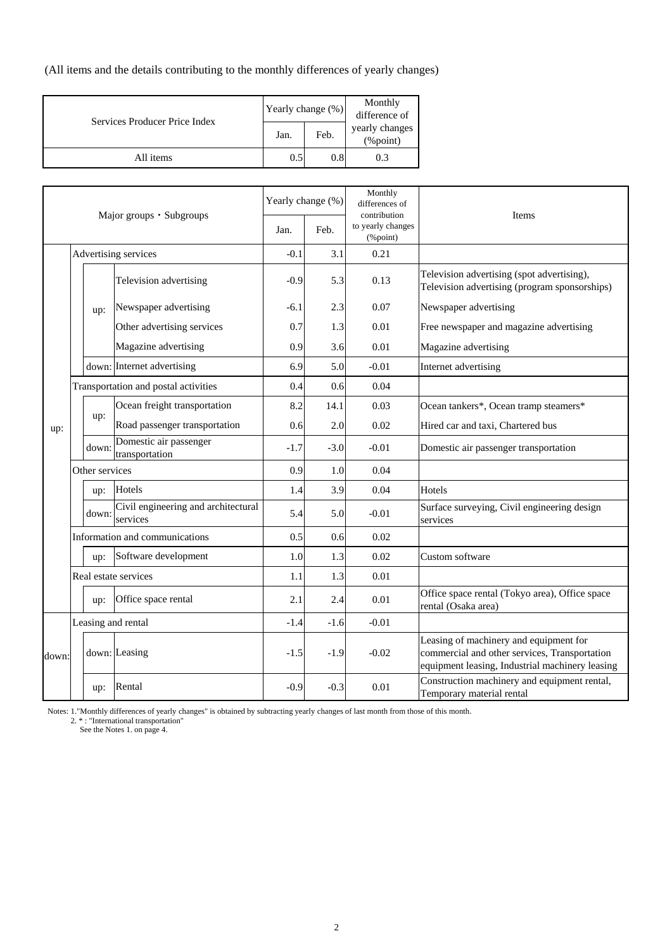(All items and the details contributing to the monthly differences of yearly changes)

| Services Producer Price Index | Yearly change (%) |         | Monthly<br>difference of       |  |  |
|-------------------------------|-------------------|---------|--------------------------------|--|--|
|                               | Jan.              | Feb.    | yearly changes<br>$(\%$ point) |  |  |
| All items                     | 0.5               | $0.8\,$ | 0.3                            |  |  |

|       |  | Yearly change (%)                                                                                                                                                                                                                                                                                                                                                                                                                                                                                                                                                        |                                     | Monthly<br>differences of<br>contribution |                               |         |                                                                                                                                            |
|-------|--|--------------------------------------------------------------------------------------------------------------------------------------------------------------------------------------------------------------------------------------------------------------------------------------------------------------------------------------------------------------------------------------------------------------------------------------------------------------------------------------------------------------------------------------------------------------------------|-------------------------------------|-------------------------------------------|-------------------------------|---------|--------------------------------------------------------------------------------------------------------------------------------------------|
|       |  | Major groups · Subgroups<br>Advertising services<br>Television advertising<br>Newspaper advertising<br>up:<br>Other advertising services<br>Magazine advertising<br>down: Internet advertising<br>Transportation and postal activities<br>Ocean freight transportation<br>up:<br>Road passenger transportation<br>Domestic air passenger<br>down:<br>transportation<br>Other services<br>Hotels<br>up:<br>down:<br>services<br>Information and communications<br>Software development<br>up:<br>Real estate services<br>Office space rental<br>up:<br>Leasing and rental | Jan.                                | Feb.                                      | to yearly changes<br>(%point) | Items   |                                                                                                                                            |
|       |  |                                                                                                                                                                                                                                                                                                                                                                                                                                                                                                                                                                          |                                     | $-0.1$                                    | 3.1                           | 0.21    |                                                                                                                                            |
|       |  |                                                                                                                                                                                                                                                                                                                                                                                                                                                                                                                                                                          |                                     | $-0.9$                                    | 5.3                           | 0.13    | Television advertising (spot advertising),<br>Television advertising (program sponsorships)                                                |
|       |  |                                                                                                                                                                                                                                                                                                                                                                                                                                                                                                                                                                          |                                     | $-6.1$                                    | 2.3                           | 0.07    | Newspaper advertising                                                                                                                      |
|       |  |                                                                                                                                                                                                                                                                                                                                                                                                                                                                                                                                                                          |                                     | 0.7                                       | 1.3                           | 0.01    | Free newspaper and magazine advertising                                                                                                    |
|       |  |                                                                                                                                                                                                                                                                                                                                                                                                                                                                                                                                                                          |                                     | 0.9                                       | 3.6                           | 0.01    | Magazine advertising                                                                                                                       |
|       |  |                                                                                                                                                                                                                                                                                                                                                                                                                                                                                                                                                                          |                                     | 6.9                                       | 5.0                           | $-0.01$ | Internet advertising                                                                                                                       |
|       |  |                                                                                                                                                                                                                                                                                                                                                                                                                                                                                                                                                                          |                                     | 0.4                                       | 0.6                           | 0.04    |                                                                                                                                            |
| up:   |  |                                                                                                                                                                                                                                                                                                                                                                                                                                                                                                                                                                          |                                     | 8.2                                       | 14.1                          | 0.03    | Ocean tankers*, Ocean tramp steamers*                                                                                                      |
|       |  |                                                                                                                                                                                                                                                                                                                                                                                                                                                                                                                                                                          |                                     | 0.6                                       | 2.0                           | 0.02    | Hired car and taxi, Chartered bus                                                                                                          |
|       |  |                                                                                                                                                                                                                                                                                                                                                                                                                                                                                                                                                                          |                                     | $-1.7$                                    | $-3.0$                        | $-0.01$ | Domestic air passenger transportation                                                                                                      |
|       |  |                                                                                                                                                                                                                                                                                                                                                                                                                                                                                                                                                                          |                                     | 0.9                                       | 1.0                           | 0.04    |                                                                                                                                            |
|       |  |                                                                                                                                                                                                                                                                                                                                                                                                                                                                                                                                                                          |                                     | 1.4                                       | 3.9                           | 0.04    | Hotels                                                                                                                                     |
|       |  |                                                                                                                                                                                                                                                                                                                                                                                                                                                                                                                                                                          | Civil engineering and architectural | 5.4                                       | 5.0                           | $-0.01$ | Surface surveying, Civil engineering design<br>services                                                                                    |
|       |  |                                                                                                                                                                                                                                                                                                                                                                                                                                                                                                                                                                          |                                     | 0.5                                       | 0.6                           | 0.02    |                                                                                                                                            |
|       |  |                                                                                                                                                                                                                                                                                                                                                                                                                                                                                                                                                                          |                                     | 1.0                                       | 1.3                           | 0.02    | Custom software                                                                                                                            |
|       |  |                                                                                                                                                                                                                                                                                                                                                                                                                                                                                                                                                                          |                                     | 1.1                                       | 1.3                           | 0.01    |                                                                                                                                            |
|       |  |                                                                                                                                                                                                                                                                                                                                                                                                                                                                                                                                                                          |                                     |                                           | 2.4                           | 0.01    | Office space rental (Tokyo area), Office space<br>rental (Osaka area)                                                                      |
|       |  |                                                                                                                                                                                                                                                                                                                                                                                                                                                                                                                                                                          |                                     | $-1.4$                                    | $-1.6$                        | $-0.01$ |                                                                                                                                            |
|       |  |                                                                                                                                                                                                                                                                                                                                                                                                                                                                                                                                                                          | down: Leasing                       | $-1.5$                                    | $-1.9$                        | $-0.02$ | Leasing of machinery and equipment for<br>commercial and other services, Transportation<br>equipment leasing, Industrial machinery leasing |
| down: |  | up:                                                                                                                                                                                                                                                                                                                                                                                                                                                                                                                                                                      | Rental                              | $-0.9$                                    | $-0.3$                        | 0.01    | Construction machinery and equipment rental,<br>Temporary material rental                                                                  |

Notes: 1."Monthly differences of yearly changes" is obtained by subtracting yearly changes of last month from those of this month.

2. \*: "International transportation"

See the Notes 1. on page 4.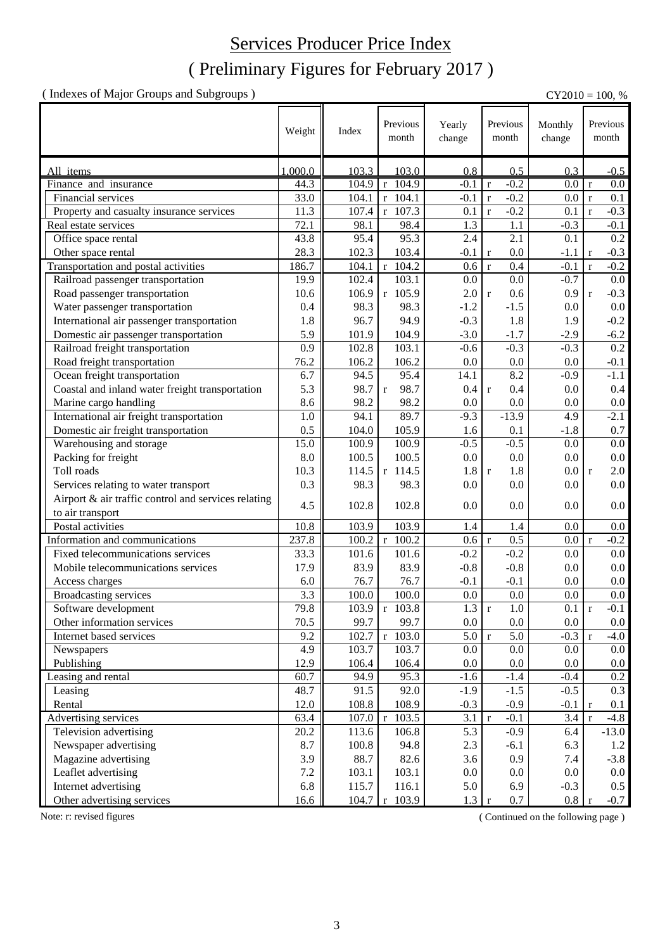### Services Producer Price Index

### ( Preliminary Figures for February 2017 )

( Indexes of Major Groups and Subgroups ) CY2010 = 100, %

|                                                     | Weight             | Index | Previous<br>month    | Yearly<br>change   | Previous<br>month      | Monthly<br>change | Previous<br>month                |
|-----------------------------------------------------|--------------------|-------|----------------------|--------------------|------------------------|-------------------|----------------------------------|
| All items                                           | 1,000.0            | 103.3 | 103.0                | 0.8                | 0.5                    | 0.3               | $-0.5$                           |
| Finance and insurance                               | 44.3               |       | 104.9 r 104.9        | $-0.1$             | $-0.2$<br>$\mathbf{r}$ | $0.0\,$           | $\overline{0.0}$<br>$\mathbf{r}$ |
| Financial services                                  | 33.0               | 104.1 | $r$ 104.1            | $-0.1$             | $-0.2$<br>$\mathbf r$  | 0.0               | 0.1<br>$\mathbf{r}$              |
| Property and casualty insurance services            | 11.3               | 107.4 | r 107.3              | 0.1                | $-0.2$<br>$\mathbf{r}$ | 0.1               | $-0.3$<br>$\mathbf{r}$           |
| Real estate services                                | 72.1               | 98.1  | 98.4                 | 1.3                | 1.1                    | $-0.3$            | $-0.1$                           |
| Office space rental                                 | 43.8               | 95.4  | 95.3                 | 2.4                | 2.1                    | 0.1               | 0.2                              |
| Other space rental                                  | 28.3               | 102.3 | 103.4                | $-0.1$             | 0.0<br>$\mathbf r$     | $-1.1$            | $-0.3$<br>$\mathbf{r}$           |
| Transportation and postal activities                | 186.7              | 104.1 | $r$ 104.2            | 0.6                | 0.4<br>$\mathbf r$     | $-0.1$            | $-0.2$<br>$\mathbf{r}$           |
| Railroad passenger transportation                   | 19.9               | 102.4 | 103.1                | 0.0                | 0.0                    | $-0.7$            | 0.0                              |
| Road passenger transportation                       | 10.6               | 106.9 | r 105.9              | 2.0                | 0.6<br>$\mathbf{r}$    | 0.9               | $-0.3$<br>$\mathbf{r}$           |
| Water passenger transportation                      | 0.4                | 98.3  | 98.3                 | $-1.2$             | $-1.5$                 | 0.0               | 0.0                              |
| International air passenger transportation          | 1.8                | 96.7  | 94.9                 | $-0.3$             | 1.8                    | 1.9               | $-0.2$                           |
| Domestic air passenger transportation               | 5.9                | 101.9 | 104.9                | $-3.0$             | $-1.7$                 | $-2.9$            | $-6.2$                           |
| Railroad freight transportation                     | 0.9                | 102.8 | 103.1                | $-0.6$             | $-0.3$                 | $-0.3$            | $0.2\,$                          |
| Road freight transportation                         | 76.2               | 106.2 | 106.2                | 0.0                | 0.0                    | 0.0               | $-0.1$                           |
| Ocean freight transportation                        | 6.7                | 94.5  | 95.4                 | 14.1               | 8.2                    | $-0.9$            | $-1.1$                           |
| Coastal and inland water freight transportation     | 5.3                | 98.7  | 98.7<br>$\mathbf{r}$ | 0.4                | 0.4<br>$\mathbf{r}$    | 0.0               | 0.4                              |
| Marine cargo handling                               | 8.6                | 98.2  | 98.2                 | 0.0                | 0.0                    | 0.0               | $0.0\,$                          |
| International air freight transportation            | 1.0                | 94.1  | 89.7                 | $-9.3$             | $-13.9$                | 4.9               | $-2.1$                           |
| Domestic air freight transportation                 | 0.5                | 104.0 | 105.9                | 1.6                | 0.1                    | $-1.8$            | 0.7                              |
| Warehousing and storage                             | 15.0               | 100.9 | 100.9                | $-0.5$             | $-0.5$                 | 0.0               | $0.0\,$                          |
| Packing for freight                                 | 8.0                | 100.5 | 100.5                | 0.0                | 0.0                    | 0.0               | $0.0\,$                          |
| Toll roads                                          | 10.3               | 114.5 | r 114.5              | 1.8                | 1.8<br>$\mathbf r$     | 0.0               | 2.0<br>$\mathbf{r}$              |
| Services relating to water transport                | 0.3                | 98.3  | 98.3                 | 0.0                | 0.0                    | 0.0               | 0.0                              |
| Airport & air traffic control and services relating |                    |       |                      |                    |                        |                   |                                  |
| to air transport                                    | 4.5                | 102.8 | 102.8                | 0.0                | 0.0                    | 0.0               | 0.0                              |
| Postal activities                                   | 10.8               | 103.9 | 103.9                | 1.4                | 1.4                    | 0.0               | 0.0                              |
| Information and communications                      | 237.8              | 100.2 | $r$ 100.2            | 0.6                | 0.5<br>$\mathbf{r}$    | 0.0               | $-0.2$<br>$\mathbf{r}$           |
| Fixed telecommunications services                   | 33.3               | 101.6 | 101.6                | $-0.2$             | $-0.2$                 | 0.0               | 0.0                              |
| Mobile telecommunications services                  | 17.9               | 83.9  | 83.9                 | $-0.8$             | $-0.8$                 | 0.0               | $0.0\,$                          |
| Access charges                                      | 6.0                | 76.7  | 76.7                 | $-0.1$             | $-0.1$                 | 0.0               | 0.0                              |
| <b>Broadcasting services</b>                        | $\overline{3.3}$   | 100.0 | 100.0                | 0.0                | 0.0                    | 0.0               | 0.0                              |
| Software development                                | 79.8               | 103.9 | $r$ 103.8            | $\overline{1.3}$ r | $\overline{1.0}$       | $0.1 \text{ r}$   | $-0.1$                           |
| Other information services                          | 70.5               | 99.7  | 99.7                 | $0.0\,$            | 0.0                    | 0.0               | $0.0\,$                          |
| Internet based services                             | 9.2                | 102.7 | 103.0<br>$\mathbf r$ | 5.0                | 5.0<br>$\mathbf r$     | $-0.3$            | $-4.0$<br>$\mathbf{r}$           |
| Newspapers                                          | 4.9                | 103.7 | 103.7                | 0.0                | 0.0                    | 0.0               | 0.0                              |
| Publishing                                          | 12.9               | 106.4 | 106.4                | 0.0                | 0.0                    | 0.0               | $0.0\,$                          |
| Leasing and rental                                  | $\overline{60}$ .7 | 94.9  | 95.3                 | $-1.6$             | $-1.4$                 | $-0.4$            | 0.2                              |
| Leasing                                             | 48.7               | 91.5  | 92.0                 | $-1.9$             | $-1.5$                 | $-0.5$            | 0.3                              |
| Rental                                              | 12.0               | 108.8 | 108.9                | $-0.3$             | $-0.9$                 | $-0.1$            | 0.1<br>r                         |
| Advertising services                                | 63.4               | 107.0 | 103.5<br>l r         | 3.1                | $-0.1$<br>$\mathbf r$  | 3.4               | $-4.8$<br>$\mathbf{r}$           |
| Television advertising                              | 20.2               | 113.6 | 106.8                | 5.3                | $-0.9$                 | 6.4               | $-13.0$                          |
| Newspaper advertising                               | 8.7                | 100.8 | 94.8                 | 2.3                | $-6.1$                 | 6.3               | 1.2                              |
| Magazine advertising                                | 3.9                | 88.7  | 82.6                 | 3.6                | 0.9                    | 7.4               | $-3.8$                           |
| Leaflet advertising                                 | $7.2\,$            | 103.1 | 103.1                | 0.0                | 0.0                    | 0.0               | $0.0\,$                          |
| Internet advertising                                | 6.8                | 115.7 | 116.1                | 5.0                | 6.9                    | $-0.3$            | $0.5\,$                          |
| Other advertising services                          | 16.6               | 104.7 | 103.9<br>$\mathbf r$ | 1.3                | 0.7<br>$\mathbf{r}$    | 0.8               | $-0.7$                           |

Note: r: revised figures (Continued on the following page)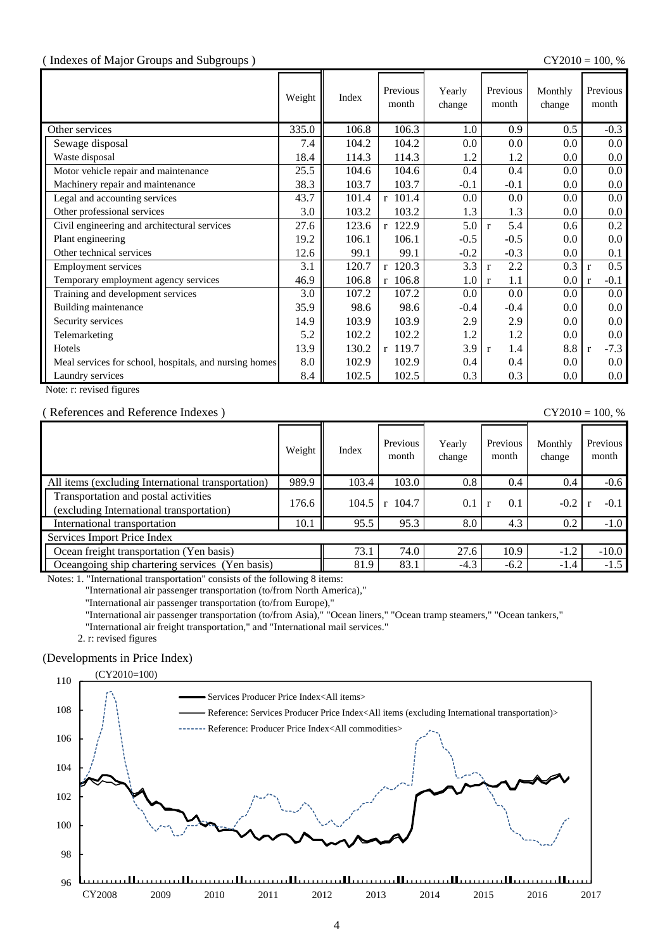#### ( Indexes of Major Groups and Subgroups ) CY2010 = 100, %

|                                                        | Weight | Index | Previous<br>month | Yearly<br>change | Previous<br>month   | Monthly<br>change | Previous<br>month      |
|--------------------------------------------------------|--------|-------|-------------------|------------------|---------------------|-------------------|------------------------|
| Other services                                         | 335.0  | 106.8 | 106.3             | 1.0              | 0.9                 | 0.5               | $-0.3$                 |
| Sewage disposal                                        | 7.4    | 104.2 | 104.2             | 0.0              | 0.0                 | 0.0               | 0.0 <sub>1</sub>       |
| Waste disposal                                         | 18.4   | 114.3 | 114.3             | 1.2              | 1.2                 | 0.0               | $0.0\,$                |
| Motor vehicle repair and maintenance                   | 25.5   | 104.6 | 104.6             | 0.4              | 0.4                 | $0.0\,$           | 0.0 <sub>1</sub>       |
| Machinery repair and maintenance                       | 38.3   | 103.7 | 103.7             | $-0.1$           | $-0.1$              | 0.0               | $0.0\,$                |
| Legal and accounting services                          | 43.7   | 101.4 | $r$ 101.4         | 0.0              | 0.0                 | 0.0               | $0.0\,$                |
| Other professional services                            | 3.0    | 103.2 | 103.2             | 1.3              | 1.3                 | $0.0\,$           | $0.0\,$                |
| Civil engineering and architectural services           | 27.6   | 123.6 | r 122.9           | 5.0              | 5.4<br>$\mathbf{r}$ | 0.6               | 0.2                    |
| Plant engineering                                      | 19.2   | 106.1 | 106.1             | $-0.5$           | $-0.5$              | 0.0               | $0.0\,$                |
| Other technical services                               | 12.6   | 99.1  | 99.1              | $-0.2$           | $-0.3$              | $0.0\,$           | 0.1                    |
| Employment services                                    | 3.1    | 120.7 | r 120.3           | 3.3              | 2.2<br>$\mathbf{r}$ | 0.3               | 0.5<br>$\mathbf{r}$    |
| Temporary employment agency services                   | 46.9   | 106.8 | $r$ 106.8         | 1.0              | 1.1<br>$\mathbf{r}$ | 0.0               | $-0.1$<br>$\mathbf{r}$ |
| Training and development services                      | 3.0    | 107.2 | 107.2             | 0.0              | 0.0                 | $0.0\,$           | 0.0 <sub>1</sub>       |
| Building maintenance                                   | 35.9   | 98.6  | 98.6              | $-0.4$           | $-0.4$              | 0.0 <sub>1</sub>  | $0.0\,$                |
| Security services                                      | 14.9   | 103.9 | 103.9             | 2.9              | 2.9                 | $0.0\,$           | $0.0\,$                |
| Telemarketing                                          | 5.2    | 102.2 | 102.2             | 1.2              | 1.2                 | $0.0\,$           | $0.0\,$                |
| Hotels                                                 | 13.9   | 130.2 | r 119.7           | 3.9              | 1.4<br>$\mathbf{r}$ | 8.8               | $-7.3$<br>$\mathbf{r}$ |
| Meal services for school, hospitals, and nursing homes | 8.0    | 102.9 | 102.9             | 0.4              | 0.4                 | 0.0               | $0.0\,$                |
| Laundry services                                       | 8.4    | 102.5 | 102.5             | 0.3              | 0.3                 | $0.0\,$           | $0.0\,$                |

Note: r: revised figures

#### ( References and Reference Indexes ) CY2010 = 100, %

|                                                                                  | Weight | Index | Previous<br>month     | Yearly<br>change | Previous<br>month | Monthly<br>change | Previous<br>month |
|----------------------------------------------------------------------------------|--------|-------|-----------------------|------------------|-------------------|-------------------|-------------------|
| All items (excluding International transportation)                               | 989.9  | 103.4 | 103.0                 | 0.8              | 0.4               | 0.4               | $-0.6$            |
| Transportation and postal activities<br>(excluding International transportation) | 176.6  | 104.5 | 104.7<br>$\mathbf{r}$ | 0.1              | 0.1               | $-0.2$            | $-0.1$            |
| International transportation                                                     | 10.1   | 95.5  | 95.3                  | 8.0              | 4.3               | 0.2               | $-1.0$            |
| Services Import Price Index                                                      |        |       |                       |                  |                   |                   |                   |
| Ocean freight transportation (Yen basis)                                         |        | 73.1  | 74.0                  | 27.6             | 10.9              | $-1.2$            | $-10.0$           |
| Oceangoing ship chartering services (Yen basis)                                  |        | 81.9  | 83.1                  | $-4.3$           | $-6.2$            | $-1.4$            | $-1.5$            |

Notes: 1. "International transportation" consists of the following 8 items:

"International air passenger transportation (to/from North America),"

"International air passenger transportation (to/from Europe),"

"International air passenger transportation (to/from Asia)," "Ocean liners," "Ocean tramp steamers," "Ocean tankers,"

"International air freight transportation," and "International mail services."

2. r: revised figures

#### (Developments in Price Index)